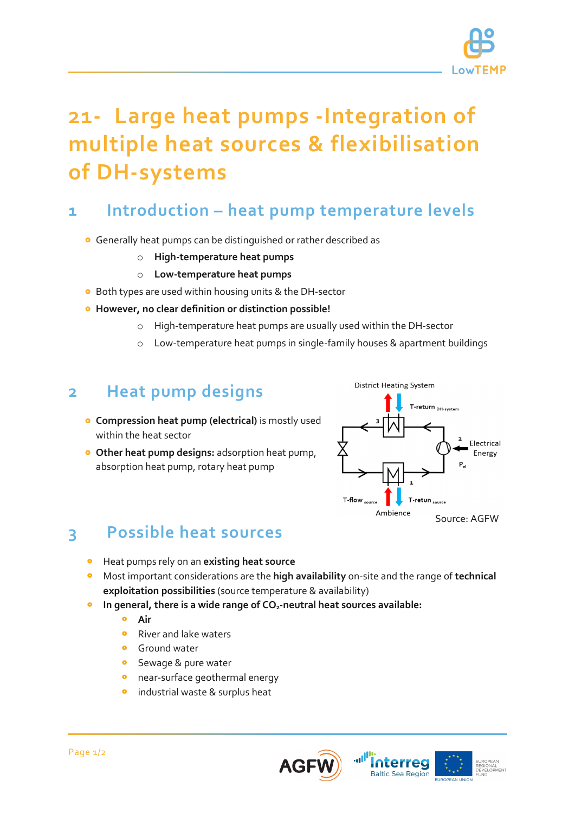

# **21- Large heat pumps -Integration of multiple heat sources & flexibilisation of DH-systems**

# **1 Introduction – heat pump temperature levels**

- Generally heat pumps can be distinguished or rather described as
	- o **High-temperature heat pumps**
	- o **Low-temperature heat pumps**
- **•** Both types are used within housing units & the DH-sector
- **However, no clear definition or distinction possible!**
	- o High-temperature heat pumps are usually used within the DH-sector
	- o Low-temperature heat pumps in single-family houses & apartment buildings

### **2 Heat pump designs**

- **Compression heat pump (electrical)** is mostly used within the heat sector
- **Other heat pump designs:** adsorption heat pump, absorption heat pump, rotary heat pump



# **3 Possible heat sources**

- Heat pumps rely on an **existing heat source**
- Most important considerations are the **high availability** on-site and the range of **technical exploitation possibilities** (source temperature & availability)
- In general, there is a wide range of CO<sub>2</sub>-neutral heat sources available:
	- $\bullet$ **Air**
	- $\bullet$ River and lake waters
	- Ground water
	- $\bullet$ Sewage & pure water
	- near-surface geothermal energy
	- industrial waste & surplus heat